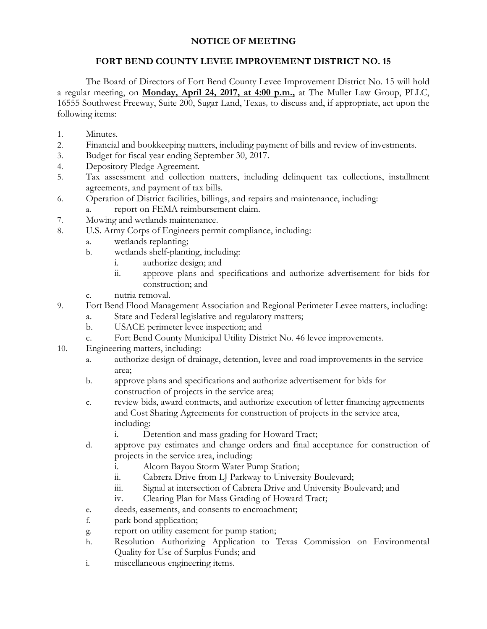## **NOTICE OF MEETING**

## **FORT BEND COUNTY LEVEE IMPROVEMENT DISTRICT NO. 15**

The Board of Directors of Fort Bend County Levee Improvement District No. 15 will hold a regular meeting, on **Monday, April 24, 2017, at 4:00 p.m.,** at The Muller Law Group, PLLC, 16555 Southwest Freeway, Suite 200, Sugar Land, Texas*,* to discuss and, if appropriate, act upon the following items:

- 1. Minutes.
- 2. Financial and bookkeeping matters, including payment of bills and review of investments.
- 3. Budget for fiscal year ending September 30, 2017.
- 4. Depository Pledge Agreement.
- 5. Tax assessment and collection matters, including delinquent tax collections, installment agreements, and payment of tax bills.
- 6. Operation of District facilities, billings, and repairs and maintenance, including:
	- a. report on FEMA reimbursement claim.
- 7. Mowing and wetlands maintenance.
- 8. U.S. Army Corps of Engineers permit compliance, including:
	- a. wetlands replanting;
	- b. wetlands shelf-planting, including:
		- i. authorize design; and
		- ii. approve plans and specifications and authorize advertisement for bids for construction; and
	- c. nutria removal.
- 9. Fort Bend Flood Management Association and Regional Perimeter Levee matters, including:
	- a. State and Federal legislative and regulatory matters;
	- b. USACE perimeter levee inspection; and
	- c. Fort Bend County Municipal Utility District No. 46 levee improvements.
- 10. Engineering matters, including:
	- a. authorize design of drainage, detention, levee and road improvements in the service area;
	- b. approve plans and specifications and authorize advertisement for bids for construction of projects in the service area;
	- c. review bids, award contracts, and authorize execution of letter financing agreements and Cost Sharing Agreements for construction of projects in the service area, including:
		- i. Detention and mass grading for Howard Tract;
	- d. approve pay estimates and change orders and final acceptance for construction of projects in the service area, including:
		- i. Alcorn Bayou Storm Water Pump Station;
		- ii. Cabrera Drive from LJ Parkway to University Boulevard;
		- iii. Signal at intersection of Cabrera Drive and University Boulevard; and
		- iv. Clearing Plan for Mass Grading of Howard Tract;
	- e. deeds, easements, and consents to encroachment;
	- f. park bond application;
	- g. report on utility easement for pump station;
	- h. Resolution Authorizing Application to Texas Commission on Environmental Quality for Use of Surplus Funds; and
	- i. miscellaneous engineering items.